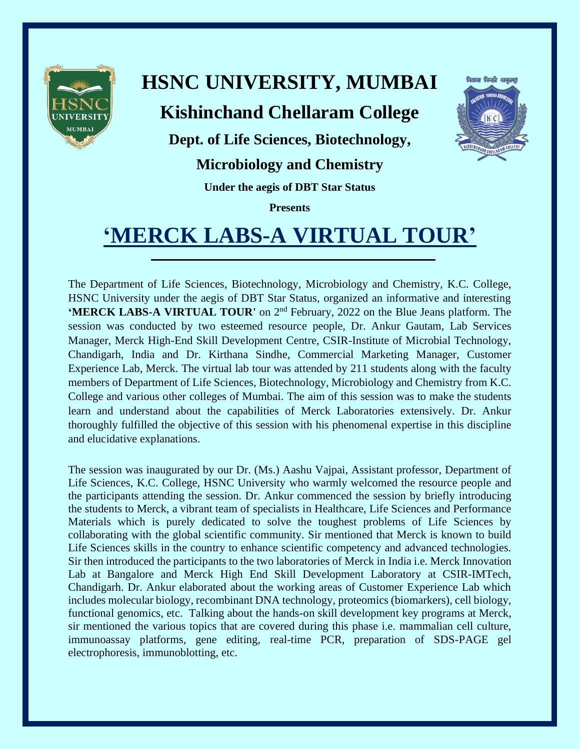

# **HSNC UNIVERSITY, MUMBAI**

### **Kishinchand Chellaram College**



**Dept. of Life Sciences, Biotechnology,** 

#### **Microbiology and Chemistry**

**Under the aegis of DBT Star Status**

**Presents**

## **'MERCK LABS-A VIRTUAL TOUR'**

The Department of Life Sciences, Biotechnology, Microbiology and Chemistry, K.C. College, HSNC University under the aegis of DBT Star Status, organized an informative and interesting **'MERCK LABS-A VIRTUAL TOUR'** on 2<sup>nd</sup> February, 2022 on the Blue Jeans platform. The session was conducted by two esteemed resource people, Dr. Ankur Gautam, Lab Services Manager, Merck High-End Skill Development Centre, CSIR-Institute of Microbial Technology, Chandigarh, India and Dr. Kirthana Sindhe, Commercial Marketing Manager, Customer Experience Lab, Merck. The virtual lab tour was attended by 211 students along with the faculty members of Department of Life Sciences, Biotechnology, Microbiology and Chemistry from K.C. College and various other colleges of Mumbai. The aim of this session was to make the students learn and understand about the capabilities of Merck Laboratories extensively. Dr. Ankur thoroughly fulfilled the objective of this session with his phenomenal expertise in this discipline and elucidative explanations.

The session was inaugurated by our Dr. (Ms.) Aashu Vajpai, Assistant professor, Department of Life Sciences, K.C. College, HSNC University who warmly welcomed the resource people and the participants attending the session. Dr. Ankur commenced the session by briefly introducing the students to Merck, a vibrant team of specialists in Healthcare, Life Sciences and Performance Materials which is purely dedicated to solve the toughest problems of Life Sciences by collaborating with the global scientific community. Sir mentioned that Merck is known to build Life Sciences skills in the country to enhance scientific competency and advanced technologies. Sir then introduced the participants to the two laboratories of Merck in India i.e. Merck Innovation Lab at Bangalore and Merck High End Skill Development Laboratory at CSIR-IMTech, Chandigarh. Dr. Ankur elaborated about the working areas of Customer Experience Lab which includes molecular biology, recombinant DNA technology, proteomics (biomarkers), cell biology, functional genomics, etc. Talking about the hands-on skill development key programs at Merck, sir mentioned the various topics that are covered during this phase i.e. mammalian cell culture, immunoassay platforms, gene editing, real-time PCR, preparation of SDS-PAGE gel electrophoresis, immunoblotting, etc.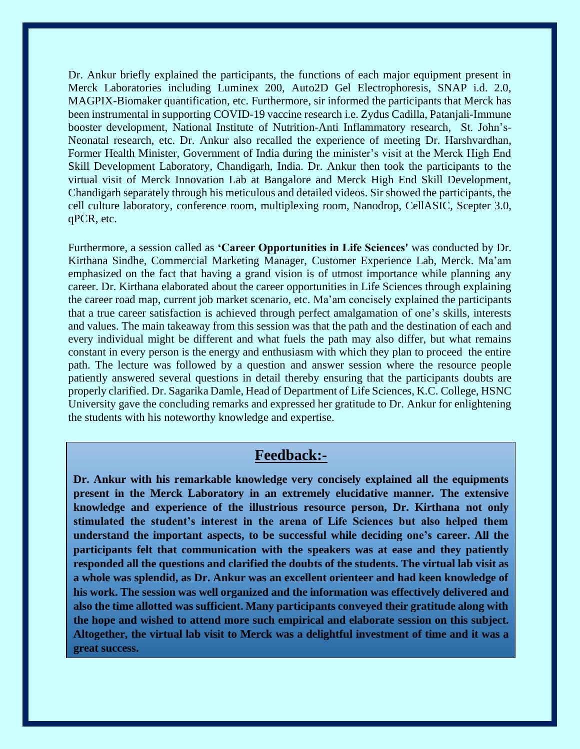Dr. Ankur briefly explained the participants, the functions of each major equipment present in Merck Laboratories including Luminex 200, Auto2D Gel Electrophoresis, SNAP i.d. 2.0, MAGPIX-Biomaker quantification, etc. Furthermore, sir informed the participants that Merck has been instrumental in supporting COVID-19 vaccine research i.e. Zydus Cadilla, Patanjali-Immune booster development, National Institute of Nutrition-Anti Inflammatory research, St. John's-Neonatal research, etc. Dr. Ankur also recalled the experience of meeting Dr. Harshvardhan, Former Health Minister, Government of India during the minister's visit at the Merck High End Skill Development Laboratory, Chandigarh, India. Dr. Ankur then took the participants to the virtual visit of Merck Innovation Lab at Bangalore and Merck High End Skill Development, Chandigarh separately through his meticulous and detailed videos. Sir showed the participants, the cell culture laboratory, conference room, multiplexing room, Nanodrop, CellASIC, Scepter 3.0, qPCR, etc.

Furthermore, a session called as **'Career Opportunities in Life Sciences'** was conducted by Dr. Kirthana Sindhe, Commercial Marketing Manager, Customer Experience Lab, Merck. Ma'am emphasized on the fact that having a grand vision is of utmost importance while planning any career. Dr. Kirthana elaborated about the career opportunities in Life Sciences through explaining the career road map, current job market scenario, etc. Ma'am concisely explained the participants that a true career satisfaction is achieved through perfect amalgamation of one's skills, interests and values. The main takeaway from this session was that the path and the destination of each and every individual might be different and what fuels the path may also differ, but what remains constant in every person is the energy and enthusiasm with which they plan to proceed the entire path. The lecture was followed by a question and answer session where the resource people patiently answered several questions in detail thereby ensuring that the participants doubts are properly clarified. Dr. Sagarika Damle, Head of Department of Life Sciences, K.C. College, HSNC University gave the concluding remarks and expressed her gratitude to Dr. Ankur for enlightening the students with his noteworthy knowledge and expertise.

#### **Feedback:-**

**Dr. Ankur with his remarkable knowledge very concisely explained all the equipments present in the Merck Laboratory in an extremely elucidative manner. The extensive knowledge and experience of the illustrious resource person, Dr. Kirthana not only stimulated the student's interest in the arena of Life Sciences but also helped them understand the important aspects, to be successful while deciding one's career. All the participants felt that communication with the speakers was at ease and they patiently responded all the questions and clarified the doubts of the students. The virtual lab visit as a whole was splendid, as Dr. Ankur was an excellent orienteer and had keen knowledge of his work. The session was well organized and the information was effectively delivered and also the time allotted was sufficient. Many participants conveyed their gratitude along with the hope and wished to attend more such empirical and elaborate session on this subject. Altogether, the virtual lab visit to Merck was a delightful investment of time and it was a great success.**